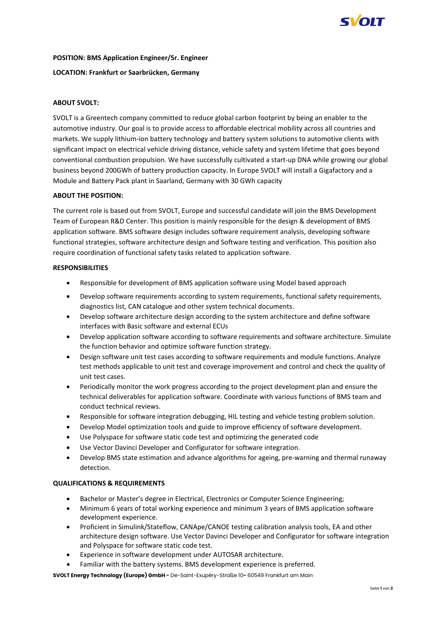

### **POSITION: BMS Application Engineer/Sr. Engineer**

## **LOCATION: Frankfurt or Saarbrücken, Germany**

# **ABOUT SVOLT:**

SVOLT is a Greentech company committed to reduce global carbon footprint by being an enabler to the automotive industry. Our goal is to provide access to affordable electrical mobility across all countries and markets. We supply lithium-ion battery technology and battery system solutions to automotive clients with significant impact on electrical vehicle driving distance, vehicle safety and system lifetime that goes beyond conventional combustion propulsion. We have successfully cultivated a start-up DNA while growing our global business beyond 200GWh of battery production capacity. In Europe SVOLT will install a Gigafactory and a Module and Battery Pack plant in Saarland, Germany with 30 GWh capacity

## **ABOUT THE POSITION:**

The current role is based out from SVOLT, Europe and successful candidate will join the BMS Development Team of European R&D Center. This position is mainly responsible for the design & development of BMS application software. BMS software design includes software requirement analysis, developing software functional strategies, software architecture design and Software testing and verification. This position also require coordination of functional safety tasks related to application software.

## **RESPONSIBILITIES**

- Responsible for development of BMS application software using Model based approach
- Develop software requirements according to system requirements, functional safety requirements, diagnostics list, CAN catalogue and other system technical documents.
- Develop software architecture design according to the system architecture and define software interfaces with Basic software and external ECUs
- Develop application software according to software requirements and software architecture. Simulate the function behavior and optimize software function strategy.
- Design software unit test cases according to software requirements and module functions. Analyze test methods applicable to unit test and coverage improvement and control and check the quality of unit test cases.
- Periodically monitor the work progress according to the project development plan and ensure the technical deliverables for application software. Coordinate with various functions of BMS team and conduct technical reviews.
- Responsible for software integration debugging, HIL testing and vehicle testing problem solution.
- Develop Model optimization tools and guide to improve efficiency of software development.
- Use Polyspace for software static code test and optimizing the generated code
- Use Vector Davinci Developer and Configurator for software integration.
- Develop BMS state estimation and advance algorithms for ageing, pre-warning and thermal runaway detection.

#### **QUALIFICATIONS & REQUIREMENTS**

- Bachelor or Master's degree in Electrical, Electronics or Computer Science Engineering;
- Minimum 6 years of total working experience and minimum 3 years of BMS application software development experience.
- Proficient in Simulink/Stateflow, CANApe/CANOE testing calibration analysis tools, EA and other architecture design software. Use Vector Davinci Developer and Configurator for software integration and Polyspace for software static code test.
- Experience in software development under AUTOSAR architecture.
- Familiar with the battery systems. BMS development experience is preferred.

**SVOLT Energy Technology (Europe) GmbH -** De-Saint-Exupéry-Straße 10**-** 60549 Frankfurt am Main